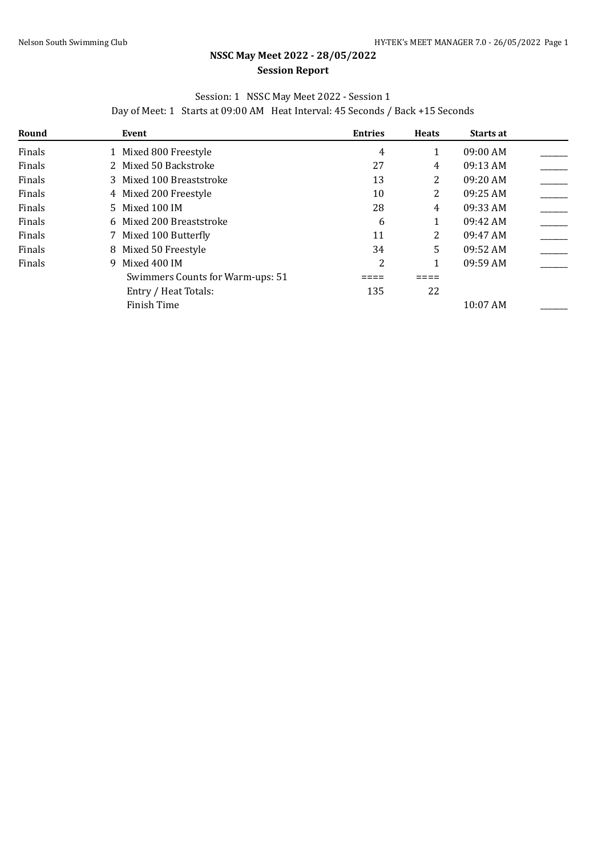## **NSSC May Meet 2022 - 28/05/2022 Session Report**

## Session: 1 NSSC May Meet 2022 - Session 1

Day of Meet: 1 Starts at 09:00 AM Heat Interval: 45 Seconds / Back +15 Seconds

| Round  | Event                            | <b>Entries</b> | <b>Heats</b> | <b>Starts at</b>   |  |
|--------|----------------------------------|----------------|--------------|--------------------|--|
| Finals | 1 Mixed 800 Freestyle            | 4              |              | $09:00$ AM         |  |
| Finals | 2 Mixed 50 Backstroke            | 27             | 4            | 09:13 AM           |  |
| Finals | 3 Mixed 100 Breaststroke         | 13             | 2            | 09:20 AM           |  |
| Finals | 4 Mixed 200 Freestyle            | 10             | 2            | $09:25$ AM         |  |
| Finals | 5 Mixed 100 IM                   | 28             | 4            | 09:33 AM           |  |
| Finals | 6 Mixed 200 Breaststroke         | 6              |              | 09:42 AM           |  |
| Finals | 7 Mixed 100 Butterfly            | 11             | 2            | $09:47 \text{ AM}$ |  |
| Finals | 8 Mixed 50 Freestyle             | 34             | 5            | 09:52 AM           |  |
| Finals | Mixed 400 IM<br>9.               | 2              |              | 09:59 AM           |  |
|        | Swimmers Counts for Warm-ups: 51 |                |              |                    |  |
|        | Entry / Heat Totals:             | 135            | 22           |                    |  |
|        | Finish Time                      |                |              | 10:07 AM           |  |